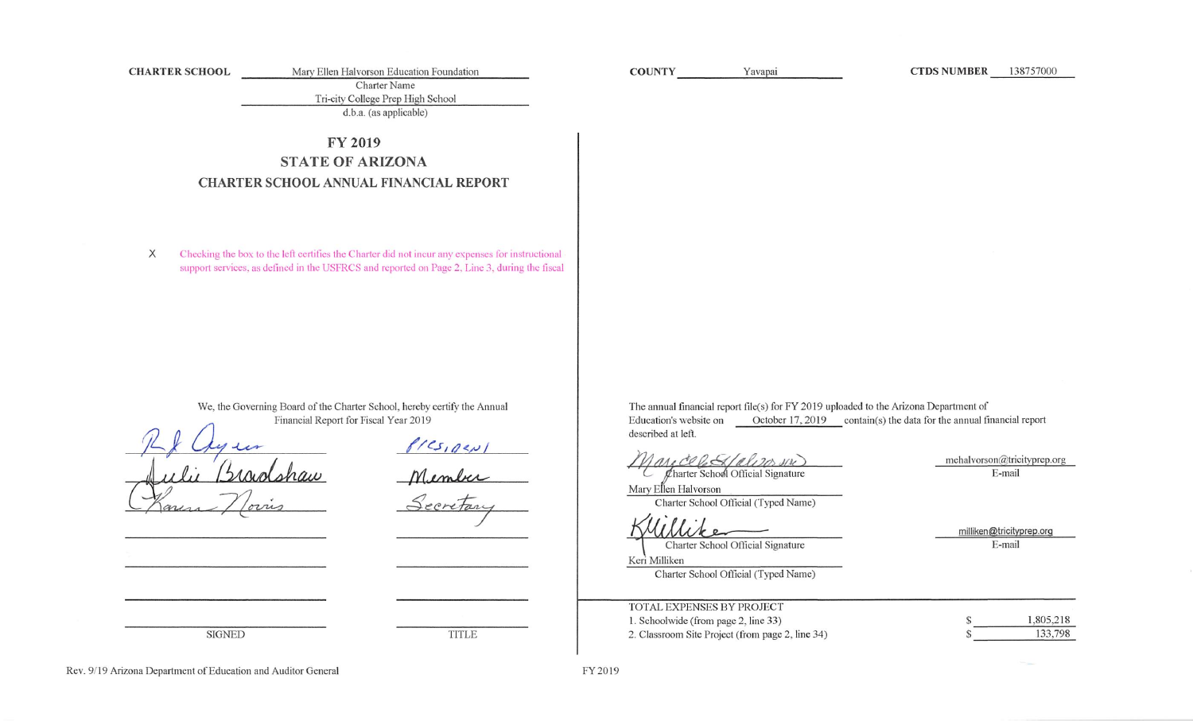**CHARTER SCHOOL** 

Mary Ellen Halvorson Education Foundation Charter Name

Tri-city College Prep High School

 $d.b.a.$  (as applicable)

# **FY 2019 STATE OF ARIZONA CHARTER SCHOOL ANNUAL FINANCIAL REPORT**

Checking the box to the left certifies the Charter did not incur any expenses for instructional  $\times$ support services, as defined in the USFRCS and reported on Page 2, Line 3, during the fiscal

> We, the Governing Board of the Charter School, hereby certify the Annual Financial Report for Fiscal Year 2019

PICS, DENI<br>Mimber<br>Secretary

**TITLE** 

The annual financial report file(s) for FY 2019 uploaded to the Arizona Department of October 17, 2019 contain(s) the data for the annual financial report Education's website on described at left.

Charter School Official Signature

mehalvorson@tricityprep.org E-mail

**CTDS NUMBER** 138757000

Mary Ellen Halvorson Charter School Official (Typed Name)

Charter School Official Signature

Keri Milliken

**COUNTY** 

Yavapai

Charter School Official (Typed Name)

milliken@tricityprep.org E-mail

| TOTAL EXPENSES BY PROJECT                        |           |
|--------------------------------------------------|-----------|
| 1. Schoolwide (from page 2, line 33)             | 1,805,218 |
| 2. Classroom Site Project (from page 2, line 34) | 133.798   |

Rev. 9/19 Arizona Department of Education and Auditor General

**SIGNED**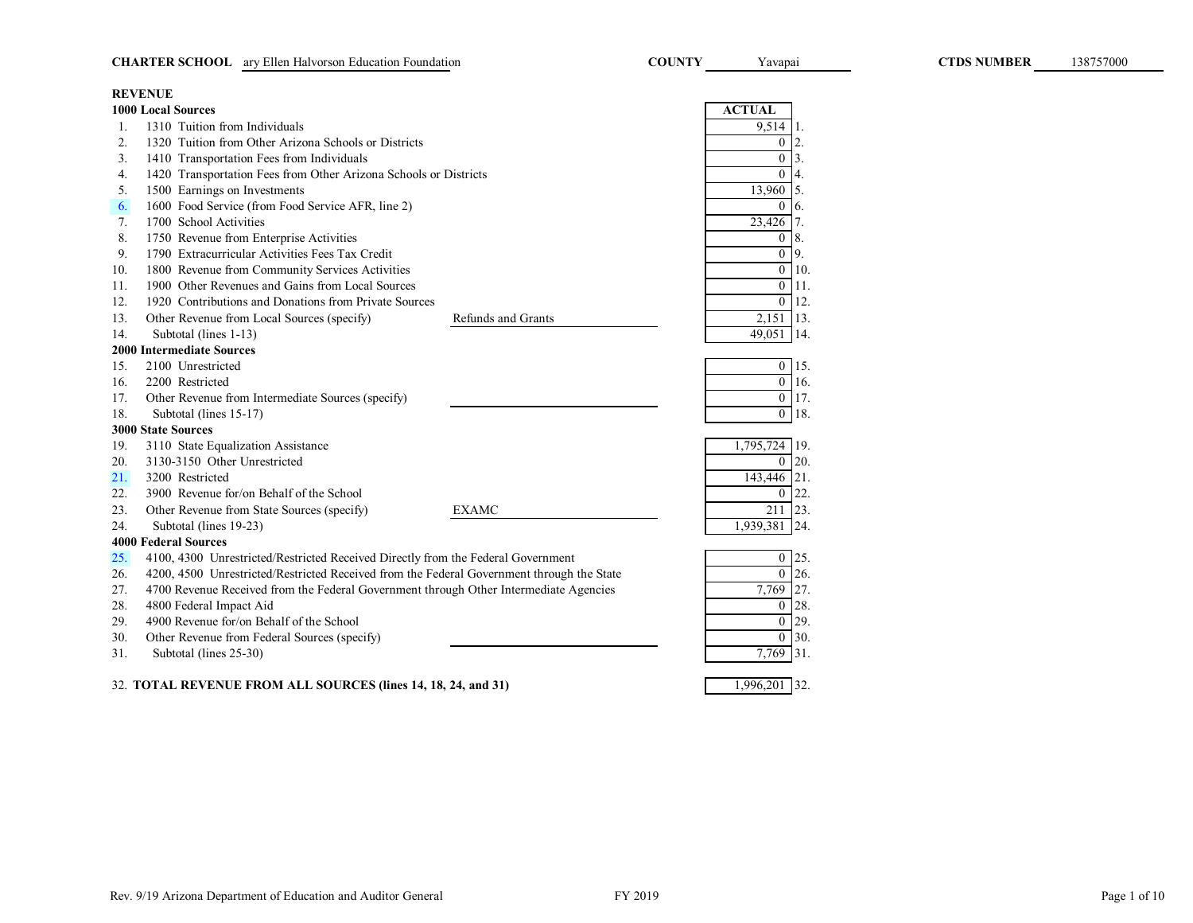|     | <b>CHARTER SCHOOL</b> ary Ellen Halvorson Education Foundation                            |                    | <b>COUNTY</b> | Yavapai               | <b>CTDS NUMBER</b> |
|-----|-------------------------------------------------------------------------------------------|--------------------|---------------|-----------------------|--------------------|
|     | <b>REVENUE</b>                                                                            |                    |               |                       |                    |
|     | <b>1000 Local Sources</b>                                                                 |                    |               | <b>ACTUAL</b>         |                    |
| 1.  | 1310 Tuition from Individuals                                                             |                    |               | 9,514                 |                    |
| 2.  | 1320 Tuition from Other Arizona Schools or Districts                                      |                    |               | $\mathbf{0}$          |                    |
| 3.  | 1410 Transportation Fees from Individuals                                                 |                    |               | $\overline{0}$<br>3.  |                    |
| 4.  | 1420 Transportation Fees from Other Arizona Schools or Districts                          |                    |               | $\overline{0}$        |                    |
| 5.  | 1500 Earnings on Investments                                                              |                    |               | 13,960<br>5.          |                    |
| 6.  | 1600 Food Service (from Food Service AFR, line 2)                                         |                    |               | $\mathbf{0}$<br>6.    |                    |
| 7.  | 1700 School Activities                                                                    |                    |               | 23,426                |                    |
| 8.  | 1750 Revenue from Enterprise Activities                                                   |                    |               | $\boldsymbol{0}$      |                    |
| 9.  | 1790 Extracurricular Activities Fees Tax Credit                                           |                    |               | $\overline{0}$<br>9.  |                    |
| 10. | 1800 Revenue from Community Services Activities                                           |                    |               | $\overline{0}$<br>10. |                    |
| 11. | 1900 Other Revenues and Gains from Local Sources                                          |                    |               | $\overline{0}$<br>11. |                    |
| 12. | 1920 Contributions and Donations from Private Sources                                     |                    |               | $\overline{0}$<br>12. |                    |
| 13. | Other Revenue from Local Sources (specify)                                                | Refunds and Grants |               | 2,151 13.             |                    |
| 14. | Subtotal (lines 1-13)                                                                     |                    |               | 14.<br>49.051         |                    |
|     | <b>2000 Intermediate Sources</b>                                                          |                    |               |                       |                    |
| 15. | 2100 Unrestricted                                                                         |                    |               | $\overline{0}$<br>15. |                    |
| 16. | 2200 Restricted                                                                           |                    |               | $\overline{0}$<br>16. |                    |
| 17. | Other Revenue from Intermediate Sources (specify)                                         |                    |               | $\overline{0}$<br>17. |                    |
| 18. | Subtotal (lines 15-17)                                                                    |                    |               | $\overline{0}$<br>18. |                    |
|     | <b>3000 State Sources</b>                                                                 |                    |               |                       |                    |
| 19. | 3110 State Equalization Assistance                                                        |                    |               | $1,795,724$ 19.       |                    |
| 20. | 3130-3150 Other Unrestricted                                                              |                    |               | $\overline{0}$<br>20. |                    |
| 21. | 3200 Restricted                                                                           |                    |               | 143,446<br>21.        |                    |
| 22. | 3900 Revenue for/on Behalf of the School                                                  |                    |               | $\overline{0}$<br>22. |                    |
| 23. | Other Revenue from State Sources (specify)                                                | <b>EXAMC</b>       |               | 211<br>23.            |                    |
| 24. | Subtotal (lines 19-23)                                                                    |                    |               | 1,939,381 24.         |                    |
|     | <b>4000 Federal Sources</b>                                                               |                    |               |                       |                    |
| 25. | 4100, 4300 Unrestricted/Restricted Received Directly from the Federal Government          |                    |               | $\overline{0}$<br>25. |                    |
| 26. | 4200, 4500 Unrestricted/Restricted Received from the Federal Government through the State |                    |               | $\overline{0}$<br>26. |                    |
| 27. | 4700 Revenue Received from the Federal Government through Other Intermediate Agencies     |                    |               | 27.<br>7,769          |                    |
| 28. | 4800 Federal Impact Aid                                                                   |                    |               | $\overline{0}$<br>28. |                    |
| 29. | 4900 Revenue for/on Behalf of the School                                                  |                    |               | $\overline{0}$<br>29. |                    |
| 30. | Other Revenue from Federal Sources (specify)                                              |                    |               | $\overline{0}$<br>30. |                    |
| 31. | Subtotal (lines 25-30)                                                                    |                    |               | 7,769 31.             |                    |
|     | 32. TOTAL REVENUE FROM ALL SOURCES (lines 14, 18, 24, and 31)                             |                    |               | 1,996,201 32.         |                    |

138757000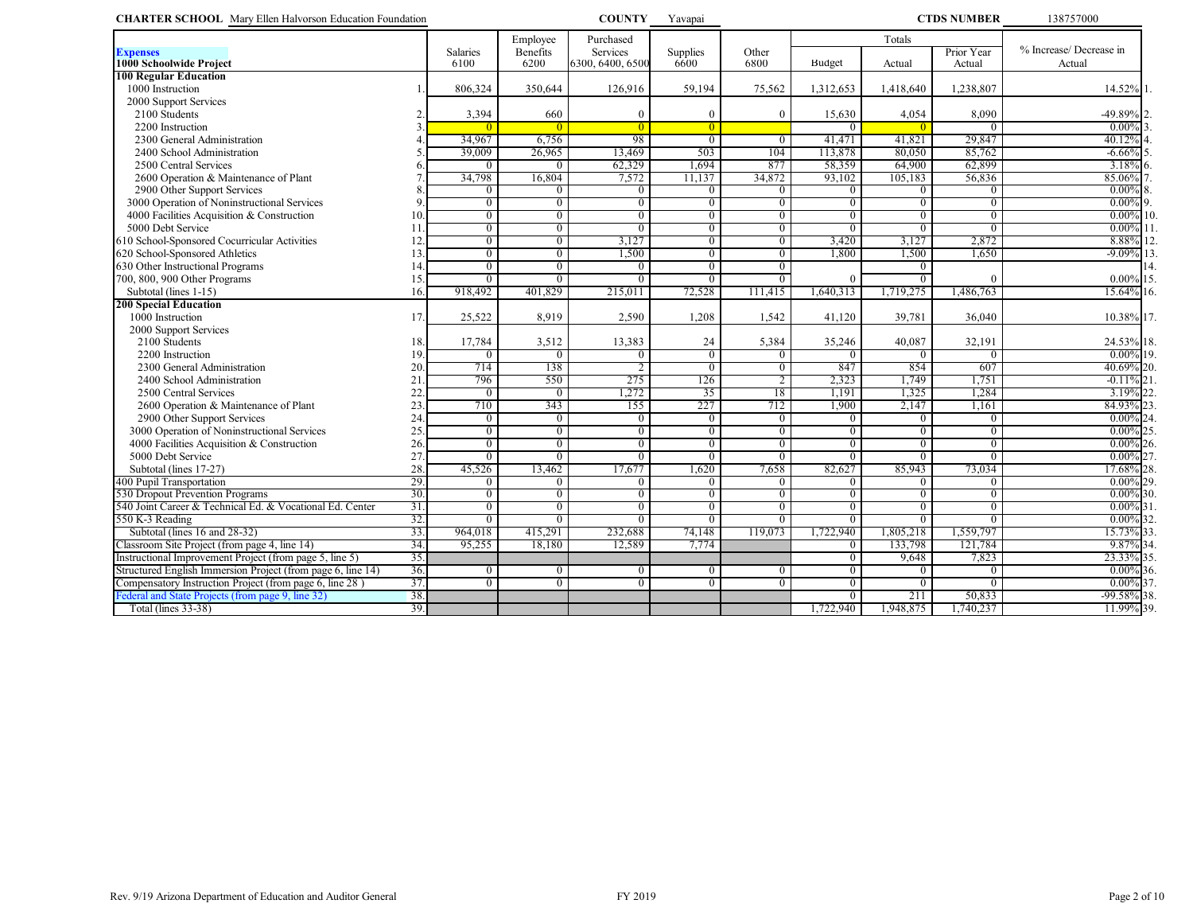| <b>CHARTER SCHOOL</b> Mary Ellen Halvorson Education Foundation                           |     |                                  |                            | <b>COUNTY</b>                    | Yavapai                          |                            |                                  |                                  | <b>CTDS NUMBER</b>         | 138757000                        |
|-------------------------------------------------------------------------------------------|-----|----------------------------------|----------------------------|----------------------------------|----------------------------------|----------------------------|----------------------------------|----------------------------------|----------------------------|----------------------------------|
|                                                                                           |     |                                  | Employee                   | Purchased                        |                                  |                            | Totals                           |                                  |                            |                                  |
| <b>Expenses</b><br>1000 Schoolwide Project                                                |     | <b>Salaries</b><br>6100          | Benefits<br>6200           | Services<br>6300, 6400, 6500     | Supplies<br>6600                 | Other<br>6800              | Budget                           | Actual                           | Prior Year<br>Actual       | % Increase/Decrease in<br>Actual |
| <b>100 Regular Education</b>                                                              |     |                                  |                            |                                  |                                  |                            |                                  |                                  |                            |                                  |
| 1000 Instruction                                                                          |     | 806,324                          | 350,644                    | 126,916                          | 59,194                           | 75,562                     | 1,312,653                        | 1,418,640                        | 1,238,807                  | 14.52%                           |
| 2000 Support Services                                                                     |     |                                  |                            |                                  |                                  |                            |                                  |                                  |                            |                                  |
| 2100 Students                                                                             |     | 3,394                            | 660                        | $\theta$                         | $\overline{0}$                   | $\Omega$                   | 15,630                           | 4,054                            | 8,090                      | -49.89%                          |
| 2200 Instruction                                                                          | 3   | $\Omega$                         | $\theta$                   | $\Omega$                         | $\overline{0}$                   |                            | $\Omega$                         |                                  | $\left($                   | 0.00%                            |
| 2300 General Administration                                                               |     | 34,967                           | 6,756                      | 98                               | $\overline{0}$                   | $\Omega$                   | 41,471                           | 41,821                           | 29,847                     | 40.12%                           |
| 2400 School Administration                                                                |     | 39,009                           | 26,965                     | 13,469                           | 503                              | 104                        | 113,878                          | 80,050                           | 85,762                     | $-6.66\%$<br>5                   |
| 2500 Central Services                                                                     |     | $\theta$                         | $\overline{0}$             | 62,329                           | 1,694                            | 877                        | 58,359                           | 64,900                           | 62,899                     | $3.18\%$ 6.                      |
| 2600 Operation & Maintenance of Plant                                                     |     | 34,798                           | 16,804                     | 7,572                            | 11,137                           | 34,872                     | 93,102                           | 105,183                          | 56,836                     | 85.06%                           |
| 2900 Other Support Services                                                               |     | $\overline{0}$<br>$\overline{0}$ | $\Omega$<br>$\overline{0}$ | $\theta$                         | $\overline{0}$<br>$\overline{0}$ | 0                          | $\overline{0}$<br>$\overline{0}$ | $\overline{0}$<br>$\overline{0}$ | $\theta$<br>$\overline{0}$ | $0.00\%$ 8.<br>9.                |
| 3000 Operation of Noninstructional Services<br>4000 Facilities Acquisition & Construction | 10. | $\overline{0}$                   | $\overline{0}$             | $\overline{0}$<br>$\overline{0}$ | $\overline{0}$                   | $\overline{0}$             |                                  | $\overline{0}$                   | $\overline{0}$             | $0.00\%$<br>$0.00\%$ 10.         |
| 5000 Debt Service                                                                         | 11  | $\overline{0}$                   | $\overline{0}$             | $\Omega$                         | $\overline{0}$                   | $\overline{0}$<br>$\theta$ | $\overline{0}$<br>$\Omega$       | $\overline{0}$                   | $\Omega$                   | $0.00\%$ 11                      |
| 610 School-Sponsored Cocurricular Activities                                              | 12  | $\overline{0}$                   | $\overline{0}$             | 3,127                            | $\overline{0}$                   | $\overline{0}$             | 3,420                            | 3,127                            | 2,872                      | 8.88% 12                         |
| 620 School-Sponsored Athletics                                                            | 13  | $\overline{0}$                   | $\overline{0}$             | 1,500                            | $\overline{0}$                   | $\theta$                   | 1,800                            | 1,500                            | 1,650                      | $-9.09\%$ 13                     |
| 630 Other Instructional Programs                                                          | 14  | $\overline{0}$                   | $\overline{0}$             | $\Omega$                         | $\overline{0}$                   | 0                          |                                  | $\Omega$                         |                            | 14.                              |
| 700, 800, 900 Other Programs                                                              | 15. | $\overline{0}$                   | $\overline{0}$             | $\theta$                         | $\overline{0}$                   | 0                          | $\Omega$                         | $\overline{0}$                   |                            | $0.00\%$ 15.                     |
| Subtotal (lines 1-15)                                                                     | 16. | 918,492                          | 401,829                    | 215,011                          | 72,528                           | 111.415                    | 1,640,313                        | 1,719,275                        | 1,486,763                  | 15.64% 16.                       |
| <b>200 Special Education</b>                                                              |     |                                  |                            |                                  |                                  |                            |                                  |                                  |                            |                                  |
| 1000 Instruction                                                                          | 17. | 25,522                           | 8,919                      | 2,590                            | 1,208                            | 1,542                      | 41,120                           | 39,781                           | 36,040                     | 10.38% 17.                       |
| 2000 Support Services                                                                     |     |                                  |                            |                                  |                                  |                            |                                  |                                  |                            |                                  |
| 2100 Students                                                                             | 18. | 17,784                           | 3,512                      | 13,383                           | 24                               | 5,384                      | 35,246                           | 40,087                           | 32,191                     | 24.53% 18.                       |
| 2200 Instruction                                                                          | 19. | $\overline{0}$                   | $\overline{0}$             | $\theta$                         | $\overline{0}$                   |                            | $\overline{0}$                   | $\overline{0}$                   | $\overline{0}$             | $0.00\%$ 19.                     |
| 2300 General Administration                                                               | 20. | 714                              | 138                        |                                  | $\overline{0}$                   | 0                          | 847                              | 854                              | 607                        | 40.69% 20.                       |
| 2400 School Administration                                                                | 21  | 796                              | 550                        | 275                              | 126                              | 2                          | 2,323                            | 1.749                            | 1,751                      | $-0.11\%$ 21                     |
| 2500 Central Services                                                                     | 22  | $\overline{0}$                   | $\overline{0}$             | 1,272                            | 35                               | 18                         | 1,191                            | 1,325                            | 1,284                      | 3.19% 22.                        |
| 2600 Operation & Maintenance of Plant                                                     | 23  | 710                              | 343                        | 155                              | 227                              | 712                        | 1,900                            | 2,147                            | 1,161                      | 84.93%<br>23                     |
| 2900 Other Support Services                                                               | 24  | $\Omega$                         | $\theta$                   | $\Omega$                         | $\mathbf{0}$                     | $\Omega$                   | $\theta$                         | $\Omega$                         | $\theta$                   | $0.00\%$ <sub>24</sub>           |
| 3000 Operation of Noninstructional Services                                               | 25. | $\overline{0}$                   | $\overline{0}$             | $\overline{0}$                   | $\overline{0}$                   | $\overline{0}$             | $\overline{0}$                   | $\overline{0}$                   | $\overline{0}$             | $0.00\%$ 25                      |
| 4000 Facilities Acquisition & Construction                                                | 26. | $\overline{0}$                   | $\overline{0}$             | $\overline{0}$                   | $\overline{0}$                   | $\theta$                   | $\overline{0}$                   | $\overline{0}$                   | $\overline{0}$             | $0.00\%$ 26.                     |
| 5000 Debt Service                                                                         | 27  | $\overline{0}$                   | $\overline{0}$             | $\overline{0}$                   | $\overline{0}$                   | 0                          | $\overline{0}$                   | $\overline{0}$                   | $\overline{0}$             | $0.00\%$ 27                      |
| Subtotal (lines 17-27)                                                                    | 28. | 45,526                           | 13,462                     | 17,677                           | 1,620                            | 7,658                      | 82,627                           | 85,943                           | 73,034                     | 17.68%<br>528.                   |
| 400 Pupil Transportation                                                                  | 29. | $\theta$                         | $\overline{0}$             | $\Omega$                         | $\overline{0}$                   | 0                          | $\Omega$                         | $\Omega$                         | $\theta$                   | $0.00\%$ 29.                     |
| 530 Dropout Prevention Programs                                                           | 30. | $\overline{0}$                   | $\overline{0}$             | $\overline{0}$                   | $\overline{0}$                   | $\overline{0}$             | $\overline{0}$                   | $\overline{0}$                   | $\overline{0}$             | $0.00\%$<br>130.                 |
| 540 Joint Career & Technical Ed. & Vocational Ed. Center                                  | 31. | $\overline{0}$                   | $\overline{0}$             | $\overline{0}$                   | $\overline{0}$                   | $\overline{0}$             | $\overline{0}$                   | $\overline{0}$                   | $\overline{0}$             | $0.00\%$ 31                      |
| 550 K-3 Reading                                                                           | 32. | $\overline{0}$                   | $\overline{0}$             | $\Omega$                         | $\overline{0}$                   | 0                          | $\overline{0}$                   | $\overline{0}$                   | $\overline{0}$             | $0.00\%$ 32.                     |
| Subtotal (lines 16 and 28-32)                                                             | 33. | 964,018                          | 415,291                    | 232,688                          | 74,148                           | 119.073                    | 1,722,940                        | 1,805,218                        | 1,559,797                  | 15.73% 33.                       |
| Classroom Site Project (from page 4, line 14)                                             | 34. | 95,255                           | 18,180                     | 12,589                           | 7,774                            |                            | $\mathbf{0}$                     | 133,798                          | 121,784                    | 9.87% 34.                        |
| Instructional Improvement Project (from page 5, line 5)                                   | 35. |                                  |                            |                                  |                                  |                            | $\overline{0}$                   | 9,648                            | 7,823                      | 23.33% 35.                       |
| Structured English Immersion Project (from page 6, line 14)                               | 36. | $\overline{0}$                   | $\overline{0}$             | $\overline{0}$                   | $\mathbf{0}$                     | 0                          | $\overline{0}$                   | $\overline{0}$                   | $\overline{0}$             | $0.00\%$ 36.                     |
| Compensatory Instruction Project (from page 6, line 28)                                   | 37. | $\overline{0}$                   | $\overline{0}$             | $\overline{0}$                   | $\overline{0}$                   | 0                          | $\overline{0}$                   | $\overline{0}$                   | $\overline{0}$             | $0.00\%$ 37                      |
| Federal and State Projects (from page 9, line 32)                                         | 38. |                                  |                            |                                  |                                  |                            | $\overline{0}$                   | 211                              | 50,833                     | $-99.58\%$ 38.                   |
| Total (lines 33-38)                                                                       | 39. |                                  |                            |                                  |                                  |                            | 1,722,940                        | 1,948,875                        | 1,740,237                  | 11.99% 39.                       |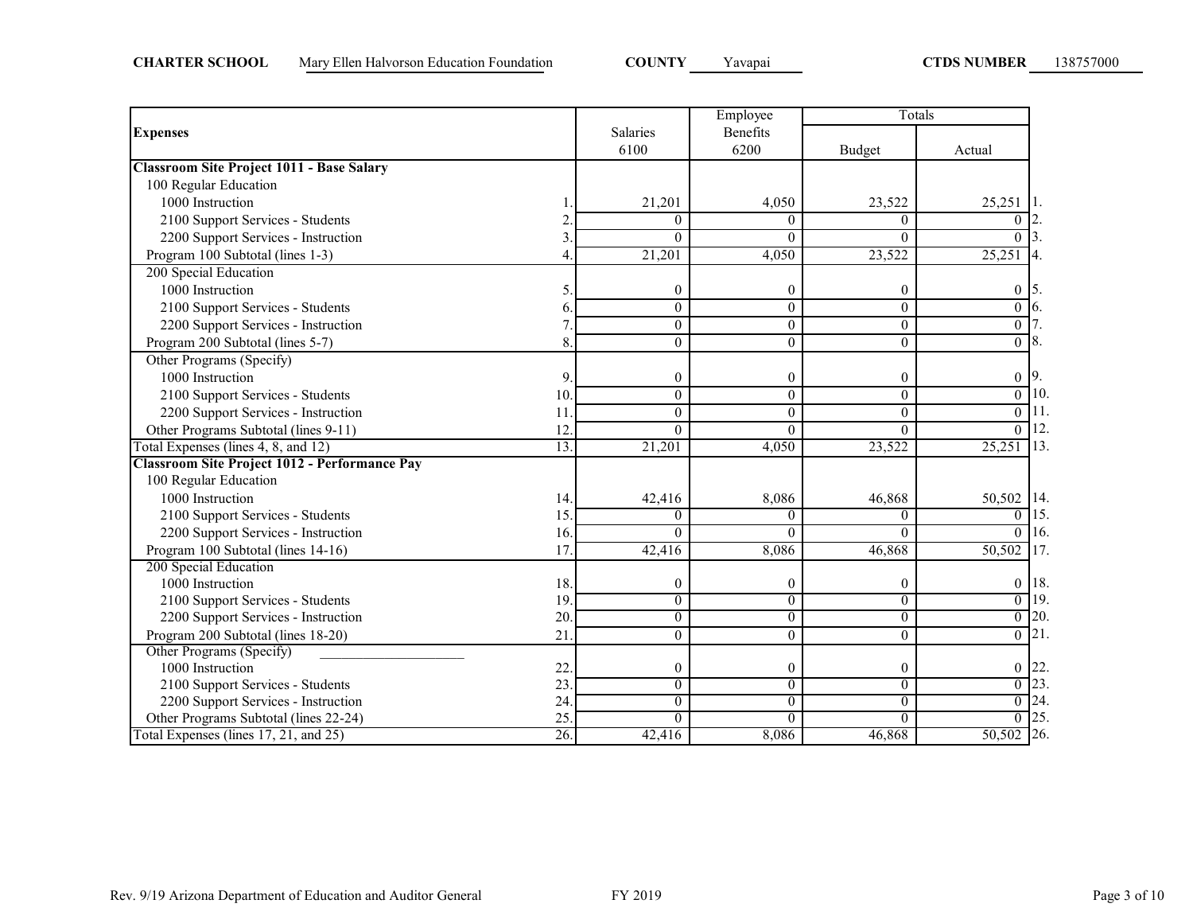|                                                  |     |                  | Employee       | Totals           |                   |     |  |
|--------------------------------------------------|-----|------------------|----------------|------------------|-------------------|-----|--|
| <b>Expenses</b>                                  |     | <b>Salaries</b>  | Benefits       |                  |                   |     |  |
|                                                  |     | 6100             | 6200           | Budget           | Actual            |     |  |
| <b>Classroom Site Project 1011 - Base Salary</b> |     |                  |                |                  |                   |     |  |
| 100 Regular Education                            |     |                  |                |                  |                   |     |  |
| 1000 Instruction                                 |     | 21,201           | 4,050          | 23,522           | 25,251            |     |  |
| 2100 Support Services - Students                 |     | $\theta$         | $\Omega$       | 0                | $\theta$          |     |  |
| 2200 Support Services - Instruction              | 3   | $\theta$         | $\Omega$       | 0                | $\theta$          |     |  |
| Program 100 Subtotal (lines 1-3)                 | 4   | 21,201           | 4,050          | 23,522           | 25,251            |     |  |
| 200 Special Education                            |     |                  |                |                  |                   |     |  |
| 1000 Instruction                                 | 5   | $\boldsymbol{0}$ | $\theta$       | $\boldsymbol{0}$ | 0                 |     |  |
| 2100 Support Services - Students                 | 6   | $\theta$         | $\theta$       | $\theta$         | $\boldsymbol{0}$  |     |  |
| 2200 Support Services - Instruction              |     | $\boldsymbol{0}$ | $\theta$       | $\theta$         | $\overline{0}$    |     |  |
| Program 200 Subtotal (lines 5-7)                 | 8   | $\mathbf{0}$     | $\theta$       | $\theta$         | $\overline{0}$    |     |  |
| Other Programs (Specify)                         |     |                  |                |                  |                   |     |  |
| 1000 Instruction                                 | 9   | $\mathbf{0}$     | $\theta$       | $\theta$         | $\boldsymbol{0}$  | 19. |  |
| 2100 Support Services - Students                 | 10  | $\theta$         | $\theta$       | $\theta$         | 0                 | 10  |  |
| 2200 Support Services - Instruction              | 11  | $\mathbf{0}$     | $\theta$       | $\theta$         | $\overline{0}$    |     |  |
| Other Programs Subtotal (lines 9-11)             | 12  | $\theta$         | $\Omega$       | $\Omega$         | $\theta$          | 12  |  |
| Total Expenses (lines 4, 8, and 12)              | 13. | 21,201           | 4,050          | 23,522           | 25,251            | 13. |  |
| Classroom Site Project 1012 - Performance Pay    |     |                  |                |                  |                   |     |  |
| 100 Regular Education                            |     |                  |                |                  |                   |     |  |
| 1000 Instruction                                 | 14. | 42,416           | 8,086          | 46,868           | 50,502 14.        |     |  |
| 2100 Support Services - Students                 | 15. | $\theta$         | $\Omega$       | $\Omega$         | $\theta$          | 15. |  |
| 2200 Support Services - Instruction              | 16. | $\theta$         | $\Omega$       | $\theta$         | $\theta$          | 16. |  |
| Program 100 Subtotal (lines 14-16)               | 17  | 42,416           | 8,086          | 46,868           | 50,502            | 17. |  |
| 200 Special Education                            |     |                  |                |                  |                   |     |  |
| 1000 Instruction                                 | 18. | $\boldsymbol{0}$ | $\theta$       | $\theta$         | 0                 | 18. |  |
| 2100 Support Services - Students                 | 19  | $\mathbf{0}$     | $\theta$       | $\theta$         | $\overline{0}$    | 19  |  |
| 2200 Support Services - Instruction              | 20  | $\overline{0}$   | $\overline{0}$ | $\overline{0}$   | $0$ 20.           |     |  |
| Program 200 Subtotal (lines 18-20)               | 21  | $\mathbf{0}$     | $\theta$       | $\theta$         | $\overline{0}$ 21 |     |  |
| Other Programs (Specify)                         |     |                  |                |                  |                   |     |  |
| 1000 Instruction                                 | 22  | $\boldsymbol{0}$ | $\mathbf{0}$   | $\boldsymbol{0}$ | 0                 | 22  |  |
| 2100 Support Services - Students                 | 23  | $\overline{0}$   | $\overline{0}$ | $\overline{0}$   | $\boldsymbol{0}$  | 23  |  |
| 2200 Support Services - Instruction              | 24  | $\boldsymbol{0}$ | $\theta$       | $\boldsymbol{0}$ | $\overline{0}$    | 24. |  |
| Other Programs Subtotal (lines 22-24)            | 25  | $\theta$         | $\Omega$       | $\Omega$         | $\theta$          | 25. |  |
| Total Expenses (lines 17, 21, and 25)            | 26. | 42,416           | 8,086          | 46,868           | 50,502 26.        |     |  |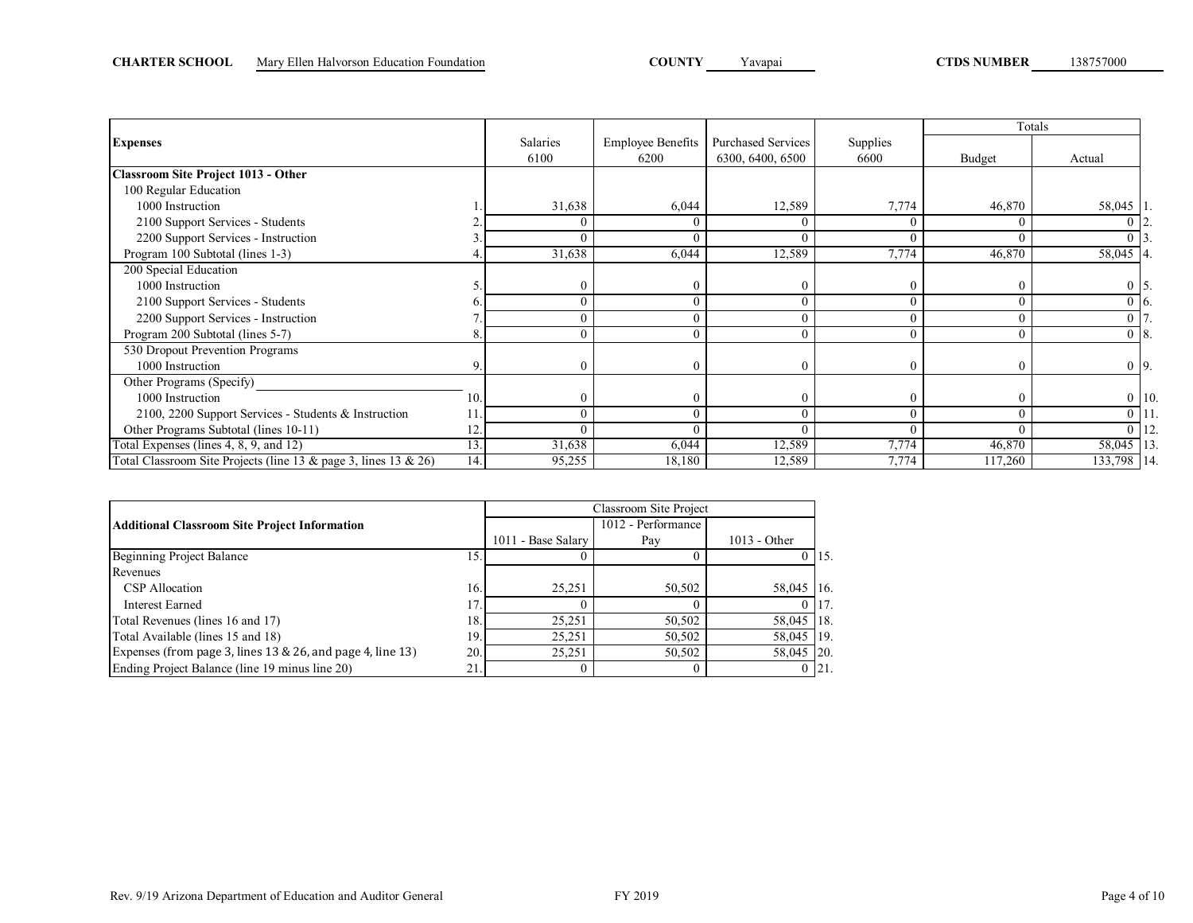|                                                                 |     |                  |                                  |                                               |                  |          | Totals             |
|-----------------------------------------------------------------|-----|------------------|----------------------------------|-----------------------------------------------|------------------|----------|--------------------|
| <b>Expenses</b>                                                 |     | Salaries<br>6100 | <b>Employee Benefits</b><br>6200 | <b>Purchased Services</b><br>6300, 6400, 6500 | Supplies<br>6600 | Budget   | Actual             |
| <b>Classroom Site Project 1013 - Other</b>                      |     |                  |                                  |                                               |                  |          |                    |
| 100 Regular Education                                           |     |                  |                                  |                                               |                  |          |                    |
| 1000 Instruction                                                |     | 31,638           | 6,044                            | 12,589                                        | 7,774            | 46,870   | 58,045   1         |
| 2100 Support Services - Students                                |     |                  |                                  |                                               |                  |          |                    |
| 2200 Support Services - Instruction                             |     | $\Omega$         |                                  | $\sqrt{ }$                                    | $\theta$         |          |                    |
| Program 100 Subtotal (lines 1-3)                                |     | 31,638           | 6,044                            | 12,589                                        | 7,774            | 46,870   | 58,045 4.          |
| 200 Special Education                                           |     |                  |                                  |                                               |                  |          |                    |
| 1000 Instruction                                                |     |                  |                                  |                                               |                  |          | 0                  |
| 2100 Support Services - Students                                | b.  |                  |                                  |                                               | $\theta$         |          | $0\,$ 6.           |
| 2200 Support Services - Instruction                             |     |                  |                                  | $\sqrt{ }$                                    | $\Omega$         |          |                    |
| Program 200 Subtotal (lines 5-7)                                |     | $\theta$         |                                  | $\Omega$                                      | $\theta$         |          | $08$ .             |
| 530 Dropout Prevention Programs                                 |     |                  |                                  |                                               |                  |          |                    |
| 1000 Instruction                                                | 9.  | $\theta$         | $\theta$                         | $\Omega$                                      | $\theta$         | $\Omega$ | $0\overline{9}$ .  |
| Other Programs (Specify)                                        |     |                  |                                  |                                               |                  |          |                    |
| 1000 Instruction                                                | 10. |                  |                                  | $\Omega$                                      |                  |          | $0$ 10.            |
| 2100, 2200 Support Services - Students & Instruction            | 11. | 0                |                                  | $\sqrt{ }$                                    | $\theta$         |          | $\overline{0}$ 11. |
| Other Programs Subtotal (lines 10-11)                           | 12. |                  |                                  |                                               | $\Omega$         |          | $\overline{0}$ 12. |
| Total Expenses (lines 4, 8, 9, and 12)                          | 13. | 31,638           | 6,044                            | 12,589                                        | 7,774            | 46,870   | 58,045 13.         |
| Total Classroom Site Projects (line 13 & page 3, lines 13 & 26) | 14. | 95,255           | 18,180                           | 12,589                                        | 7,774            | 117,260  | 133,798 14.        |

|                                                            |      | Classroom Site Project |                    |                |             |  |  |  |  |
|------------------------------------------------------------|------|------------------------|--------------------|----------------|-------------|--|--|--|--|
| <b>Additional Classroom Site Project Information</b>       |      |                        | 1012 - Performance |                |             |  |  |  |  |
|                                                            |      | 1011 - Base Salary     | Pay                | $1013 - Other$ |             |  |  |  |  |
| Beginning Project Balance                                  | 15.  |                        |                    |                | 15.         |  |  |  |  |
| Revenues                                                   |      |                        |                    |                |             |  |  |  |  |
| CSP Allocation                                             | 16.I | 25,251                 | 50,502             | 58,045         | 16.         |  |  |  |  |
| <b>Interest Earned</b>                                     |      |                        |                    |                | 17.         |  |  |  |  |
| Total Revenues (lines 16 and 17)                           | 18.  | 25,251                 | 50,502             | 58,045         | 118.        |  |  |  |  |
| Total Available (lines 15 and 18)                          | 19.1 | 25.251                 | 50,502             | 58,045 19.     |             |  |  |  |  |
| Expenses (from page 3, lines 13 & 26, and page 4, line 13) | 20.1 | 25.251                 | 50,502             | 58,045         | 120.        |  |  |  |  |
| Ending Project Balance (line 19 minus line 20)             | 21.  |                        |                    |                | $0 \;  21.$ |  |  |  |  |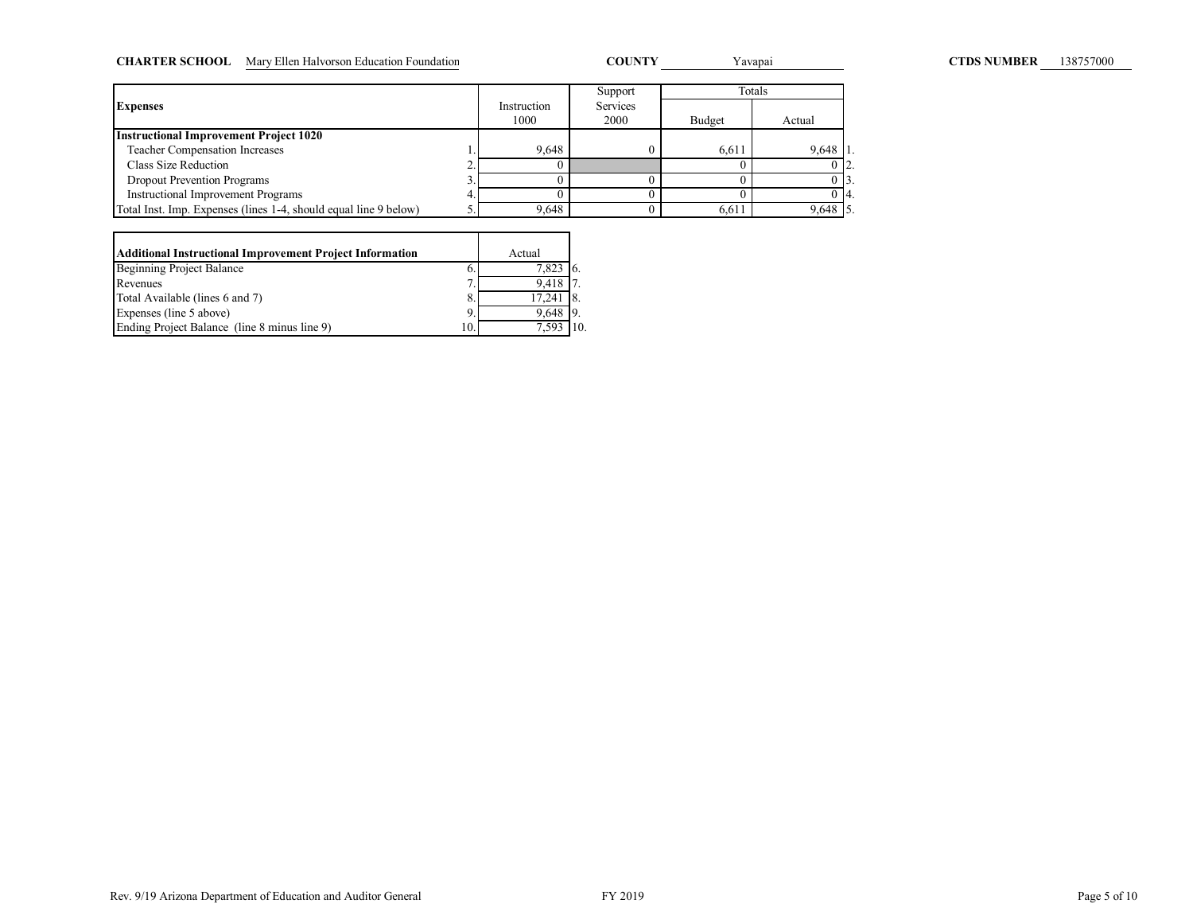| <b>CHARTER SCHOOL</b> | Mary Ellen Halvorson Education Foundation |                     | <b>COUNTY</b>    |        | Yavapai | <b>CTDS NUMBER</b> | 138757000 |
|-----------------------|-------------------------------------------|---------------------|------------------|--------|---------|--------------------|-----------|
|                       |                                           |                     | Support          |        | Totals  |                    |           |
| <b>Expenses</b>       |                                           | Instruction<br>1000 | Services<br>2000 | Budget | Actual  |                    |           |

|                                                                  | 1000  | 2000 | Budget | Actual     |  |
|------------------------------------------------------------------|-------|------|--------|------------|--|
| <b>Instructional Improvement Project 1020</b>                    |       |      |        |            |  |
| <b>Teacher Compensation Increases</b>                            | 9.648 |      | 6.611  | $9.648$ 1. |  |
| Class Size Reduction                                             |       |      |        |            |  |
| <b>Dropout Prevention Programs</b>                               |       |      |        |            |  |
| <b>Instructional Improvement Programs</b>                        |       |      |        | 014.       |  |
| Total Inst. Imp. Expenses (lines 1-4, should equal line 9 below) | 9.648 |      | 6.611  | $9,648$ 5. |  |

| Additional Instructional Improvement Project Information |     | Actual        |  |
|----------------------------------------------------------|-----|---------------|--|
| <b>Beginning Project Balance</b>                         | 6.  | 7.823         |  |
| Revenues                                                 |     | 9.418 7       |  |
| Total Available (lines 6 and 7)                          | 8.  | $17.241$ $8.$ |  |
| Expenses (line 5 above)                                  | 9.  | 9.648 9.      |  |
| Ending Project Balance (line 8 minus line 9)             | 10. | 7.593         |  |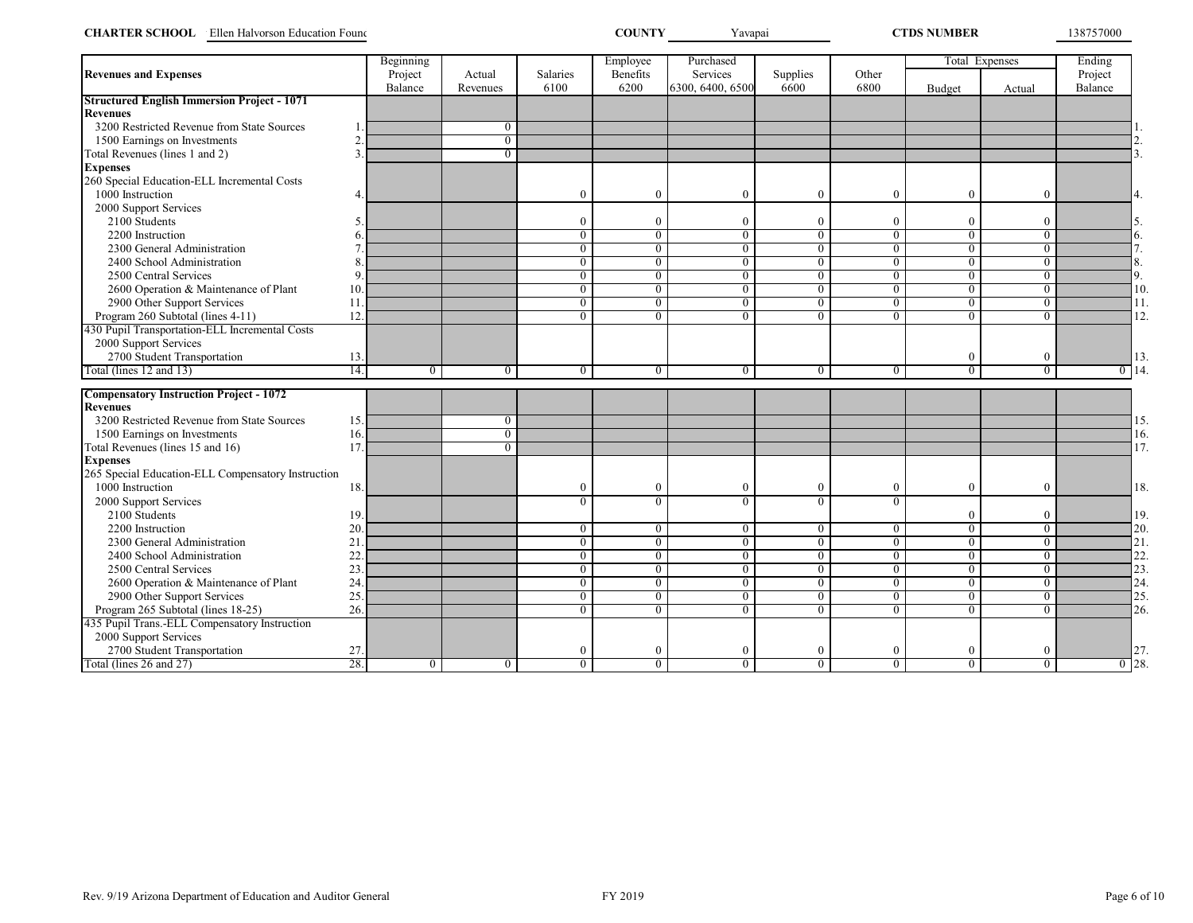| <b>CHARTER SCHOOL</b> Ellen Halvorson Education Found |                |                    |                    |                  | <b>COUNTY</b>    | Yavapai                      |                  | <b>CTDS NUMBER</b> |                  | 138757000      |                      |
|-------------------------------------------------------|----------------|--------------------|--------------------|------------------|------------------|------------------------------|------------------|--------------------|------------------|----------------|----------------------|
|                                                       |                | Beginning          |                    |                  | Employee         | Purchased                    |                  |                    |                  | Total Expenses | Ending               |
| <b>Revenues and Expenses</b>                          |                | Project<br>Balance | Actual<br>Revenues | Salaries<br>6100 | Benefits<br>6200 | Services<br>6300, 6400, 6500 | Supplies<br>6600 | Other<br>6800      | Budget           | Actual         | Project<br>Balance   |
| <b>Structured English Immersion Project - 1071</b>    |                |                    |                    |                  |                  |                              |                  |                    |                  |                |                      |
| <b>Revenues</b>                                       |                |                    |                    |                  |                  |                              |                  |                    |                  |                |                      |
| 3200 Restricted Revenue from State Sources            |                |                    | $\mathbf{0}$       |                  |                  |                              |                  |                    |                  |                |                      |
| 1500 Earnings on Investments                          | $\mathfrak{D}$ |                    | $\overline{0}$     |                  |                  |                              |                  |                    |                  |                |                      |
| Total Revenues (lines 1 and 2)                        | $\mathbf{3}$   |                    | $\mathbf{0}$       |                  |                  |                              |                  |                    |                  |                |                      |
| <b>Expenses</b>                                       |                |                    |                    |                  |                  |                              |                  |                    |                  |                |                      |
| 260 Special Education-ELL Incremental Costs           |                |                    |                    |                  |                  |                              |                  |                    |                  |                |                      |
| 1000 Instruction                                      | 4.             |                    |                    | $\theta$         | $\boldsymbol{0}$ | $\overline{0}$               | $\theta$         | $\mathbf{0}$       | $\mathbf{0}$     | $\overline{0}$ | 4.                   |
| 2000 Support Services                                 |                |                    |                    |                  |                  |                              |                  |                    |                  |                |                      |
| 2100 Students                                         |                |                    |                    | $\Omega$         | $\theta$         | $\Omega$                     | $\Omega$         | $\mathbf{0}$       | $\mathbf{0}$     | $\Omega$       | 5.                   |
| 2200 Instruction                                      |                |                    |                    | $\overline{0}$   | $\overline{0}$   | $\overline{0}$               | $\overline{0}$   | $\overline{0}$     | $\overline{0}$   | $\overline{0}$ | 6.                   |
| 2300 General Administration                           |                |                    |                    | $\overline{0}$   | $\mathbf{0}$     | $\overline{0}$               | $\overline{0}$   | $\overline{0}$     | $\overline{0}$   | $\overline{0}$ | 7.                   |
| 2400 School Administration                            |                |                    |                    | $\overline{0}$   | $\mathbf{0}$     | $\overline{0}$               | $\overline{0}$   | $\overline{0}$     | $\overline{0}$   | $\theta$       | 8.                   |
| 2500 Central Services                                 |                |                    |                    | $\overline{0}$   | $\overline{0}$   | $\overline{0}$               | $\overline{0}$   | $\overline{0}$     | $\overline{0}$   | $\overline{0}$ | 9.                   |
| 2600 Operation & Maintenance of Plant                 | 10             |                    |                    | $\overline{0}$   | $\overline{0}$   | $\overline{0}$               | $\overline{0}$   | $\overline{0}$     | $\overline{0}$   | $\overline{0}$ | 10.                  |
| 2900 Other Support Services                           | 11             |                    |                    | $\Omega$         | $\theta$         | $\theta$                     | $\Omega$         | $\overline{0}$     | $\overline{0}$   | $\Omega$       | 11.                  |
| Program 260 Subtotal (lines 4-11)                     | 12.            |                    |                    | $\overline{0}$   | $\overline{0}$   | $\overline{0}$               | $\overline{0}$   | $\overline{0}$     | $\overline{0}$   | $\overline{0}$ | 12.                  |
| 430 Pupil Transportation-ELL Incremental Costs        |                |                    |                    |                  |                  |                              |                  |                    |                  |                |                      |
| 2000 Support Services                                 |                |                    |                    |                  |                  |                              |                  |                    |                  |                |                      |
| 2700 Student Transportation                           | 13.            |                    |                    |                  |                  |                              |                  |                    | $\bf{0}$         | $\overline{0}$ | 13                   |
| Total (lines 12 and 13)                               | 14.            | $\overline{0}$     | $\overline{0}$     | $\overline{0}$   | $\overline{0}$   | $\overline{0}$               | $\overline{0}$   | $\overline{0}$     | $\overline{0}$   | $\overline{0}$ | 14<br>$\overline{0}$ |
| <b>Compensatory Instruction Project - 1072</b>        |                |                    |                    |                  |                  |                              |                  |                    |                  |                |                      |
| <b>Revenues</b>                                       |                |                    |                    |                  |                  |                              |                  |                    |                  |                |                      |
| 3200 Restricted Revenue from State Sources            | 15.            |                    | $\mathbf{0}$       |                  |                  |                              |                  |                    |                  |                | 15                   |
| 1500 Earnings on Investments                          | 16             |                    | $\overline{0}$     |                  |                  |                              |                  |                    |                  |                | 16.                  |
| Total Revenues (lines 15 and 16)                      | 17             |                    | $\overline{0}$     |                  |                  |                              |                  |                    |                  |                | 17.                  |
| <b>Expenses</b>                                       |                |                    |                    |                  |                  |                              |                  |                    |                  |                |                      |
| 265 Special Education-ELL Compensatory Instruction    |                |                    |                    |                  |                  |                              |                  |                    |                  |                |                      |
| 1000 Instruction                                      | 18.            |                    |                    | $\theta$         | $\boldsymbol{0}$ | $\theta$                     | $\theta$         | $\mathbf{0}$       | $\boldsymbol{0}$ | $\overline{0}$ | 18.                  |
| 2000 Support Services                                 |                |                    |                    | $\overline{0}$   | $\overline{0}$   | $\overline{0}$               | $\Omega$         | $\overline{0}$     |                  |                |                      |
| 2100 Students                                         | 19             |                    |                    |                  |                  |                              |                  |                    | $\mathbf{0}$     | $\theta$       | 19.                  |
| 2200 Instruction                                      | 20             |                    |                    | $\mathbf{0}$     | $\bf{0}$         | $\bf{0}$                     | $\mathbf{0}$     | $\overline{0}$     | $\overline{0}$   | $\overline{0}$ | 20.                  |
| 2300 General Administration                           | 21             |                    |                    | $\overline{0}$   | $\overline{0}$   | $\overline{0}$               | $\mathbf{0}$     | $\overline{0}$     | $\overline{0}$   | $\bf{0}$       | 21.                  |
| 2400 School Administration                            | 22             |                    |                    | $\overline{0}$   | $\overline{0}$   | $\mathbf{0}$                 | $\mathbf{0}$     | $\overline{0}$     | $\overline{0}$   | $\overline{0}$ | 22.                  |
| 2500 Central Services                                 | 23             |                    |                    | $\overline{0}$   | $\overline{0}$   | $\overline{0}$               | $\overline{0}$   | $\overline{0}$     | $\overline{0}$   | $\overline{0}$ | 23                   |
| 2600 Operation & Maintenance of Plant                 | 24             |                    |                    | $\overline{0}$   | $\overline{0}$   | $\overline{0}$               | $\overline{0}$   | $\overline{0}$     | $\overline{0}$   | $\overline{0}$ | 24.                  |
| 2900 Other Support Services                           | 25             |                    |                    | $\overline{0}$   | $\overline{0}$   | $\overline{0}$               | $\overline{0}$   | $\overline{0}$     | $\overline{0}$   | $\overline{0}$ | 25.                  |
| Program 265 Subtotal (lines 18-25)                    | 26.            |                    |                    | $\overline{0}$   | $\overline{0}$   | $\overline{0}$               | $\overline{0}$   | $\overline{0}$     | $\overline{0}$   | $\overline{0}$ | 26.                  |
| 435 Pupil Trans.-ELL Compensatory Instruction         |                |                    |                    |                  |                  |                              |                  |                    |                  |                |                      |
| 2000 Support Services                                 |                |                    |                    |                  |                  |                              |                  |                    |                  |                |                      |
| 2700 Student Transportation                           |                |                    |                    | $\Omega$         | $\theta$         | $\theta$                     | $\Omega$         | $\bf{0}$           | $\bf{0}$         | $\theta$       | 27                   |
| Total (lines 26 and 27)                               | 27.<br>28.     | $\overline{0}$     | $\overline{0}$     | $\overline{0}$   | $\overline{0}$   | $\overline{0}$               | $\overline{0}$   | $\overline{0}$     | $\overline{0}$   | $\overline{0}$ | $0^{28}$             |
|                                                       |                |                    |                    |                  |                  |                              |                  |                    |                  |                |                      |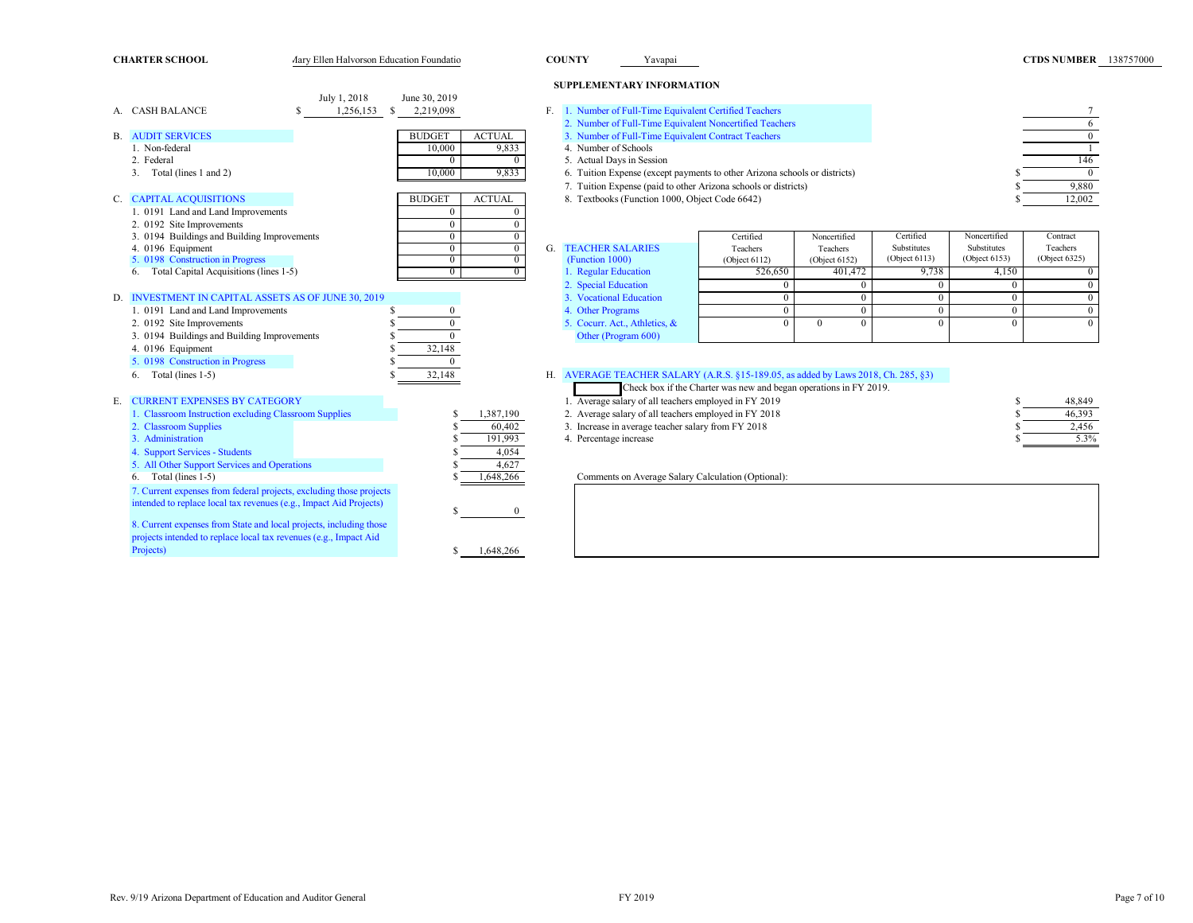**CHARTER SCHOOL** Ary Ellen Halvorson Education Foundatio **COUNTY** Yavapai **COUNTY** Yavapai **COUNTY** Yavapai **COUNTY** Yavapai **COUNTY** Yavapai **COUNTY** Yavapai **COUNTY** Yavapai **COUNTY** Yavapai **COUNTY** Yavapai **COUNTY** Yav

### **SUPPLEMENTARY INFORMATION**

|    |                                                                     | July 1, 2018 |    | June 30, 2019 |               |    |                                                                                   |                                                                   |                      |               |               |                |
|----|---------------------------------------------------------------------|--------------|----|---------------|---------------|----|-----------------------------------------------------------------------------------|-------------------------------------------------------------------|----------------------|---------------|---------------|----------------|
|    | A. CASH BALANCE                                                     | 1,256,153    | -S | 2,219,098     |               |    | 1. Number of Full-Time Equivalent Certified Teachers                              |                                                                   |                      |               |               |                |
|    |                                                                     |              |    |               |               |    | 2. Number of Full-Time Equivalent Noncertified Teachers                           |                                                                   |                      |               |               | 6              |
| В. | <b>AUDIT SERVICES</b>                                               |              |    | <b>BUDGET</b> | <b>ACTUAL</b> |    | 3. Number of Full-Time Equivalent Contract Teachers                               |                                                                   |                      |               |               | $\overline{0}$ |
|    | 1. Non-federal                                                      |              |    | 10,000        | 9,833         |    | 4. Number of Schools                                                              |                                                                   |                      |               |               |                |
|    | 2. Federal                                                          |              |    | $\Omega$      | $\Omega$      |    | 5. Actual Days in Session                                                         |                                                                   |                      |               |               | 146            |
|    | Total (lines 1 and 2)                                               |              |    | 10,000        | 9,833         |    | 6. Tuition Expense (except payments to other Arizona schools or districts)        |                                                                   |                      |               |               | $\overline{0}$ |
|    |                                                                     |              |    |               |               |    | 7. Tuition Expense (paid to other Arizona schools or districts)                   |                                                                   |                      |               |               | 9,880          |
| C. | <b>CAPITAL ACQUISITIONS</b>                                         |              |    | <b>BUDGET</b> | <b>ACTUAL</b> |    | 8. Textbooks (Function 1000, Object Code 6642)                                    |                                                                   |                      |               |               | 12,002         |
|    | 1. 0191 Land and Land Improvements                                  |              |    | $\Omega$      |               |    |                                                                                   |                                                                   |                      |               |               |                |
|    | 2. 0192 Site Improvements                                           |              |    | $\mathbf{0}$  |               |    |                                                                                   |                                                                   |                      |               |               |                |
|    | 3. 0194 Buildings and Building Improvements                         |              |    | $\Omega$      | $\Omega$      |    |                                                                                   | Certified                                                         | Noncertified         | Certified     | Noncertified  | Contract       |
|    | 4. 0196 Equipment                                                   |              |    | $\Omega$      | $\mathbf{0}$  | G. | <b>TEACHER SALARIES</b>                                                           | Teachers                                                          | Teachers             | Substitutes   | Substitutes   | Teachers       |
|    | 5. 0198 Construction in Progress                                    |              |    | $\Omega$      | $\Omega$      |    | (Function 1000)                                                                   | (Object 6112)                                                     | (Object $6152$ )     | (Object 6113) | (Object 6153) | (Object 6325)  |
|    | Total Capital Acquisitions (lines 1-5)                              |              |    | $\Omega$      |               |    | 1. Regular Education                                                              | 526,650                                                           | 401,472              | 9,738         | 4,150         | $\overline{0}$ |
|    |                                                                     |              |    |               |               |    | 2. Special Education                                                              | $\Omega$                                                          | $\mathbf{0}$         | $\mathbf{0}$  | $\mathbf{0}$  | $\mathbf{0}$   |
|    | D. INVESTMENT IN CAPITAL ASSETS AS OF JUNE 30, 2019                 |              |    |               |               |    | 3. Vocational Education                                                           | $\Omega$                                                          | $\mathbf{0}$         | $\mathbf{0}$  | $\Omega$      | $\mathbf{0}$   |
|    | 1. 0191 Land and Land Improvements                                  |              |    |               |               |    | 4. Other Programs                                                                 | $\mathbf{0}$                                                      | $\mathbf{0}$         | $\mathbf{0}$  | $\Omega$      | $\mathbf{0}$   |
|    | 2. 0192 Site Improvements                                           |              |    | $\Omega$      |               |    | 5. Cocurr. Act., Athletics, &                                                     |                                                                   | $\Omega$<br>$\Omega$ | 0             | $\Omega$      | $\mathbf{0}$   |
|    | 3. 0194 Buildings and Building Improvements                         |              |    | $\theta$      |               |    | Other (Program 600)                                                               |                                                                   |                      |               |               |                |
|    | 4. 0196 Equipment                                                   |              |    | 32,148        |               |    |                                                                                   |                                                                   |                      |               |               |                |
|    | 5. 0198 Construction in Progress                                    |              |    | $\Omega$      |               |    |                                                                                   |                                                                   |                      |               |               |                |
|    | $6.$ Total (lines 1-5)                                              |              |    | 32,148        |               |    | H. AVERAGE TEACHER SALARY (A.R.S. §15-189.05, as added by Laws 2018, Ch. 285, §3) |                                                                   |                      |               |               |                |
|    |                                                                     |              |    |               |               |    |                                                                                   | Check box if the Charter was new and began operations in FY 2019. |                      |               |               |                |
| Е. | <b>CURRENT EXPENSES BY CATEGORY</b>                                 |              |    |               |               |    | 1. Average salary of all teachers employed in FY 2019                             |                                                                   |                      |               |               | 48,849         |
|    | 1. Classroom Instruction excluding Classroom Supplies               |              |    |               | 1,387,190     |    | 2. Average salary of all teachers employed in FY 2018                             |                                                                   |                      |               |               | 46,393         |
|    | 2. Classroom Supplies                                               |              |    |               | 60,402        |    | 3. Increase in average teacher salary from FY 2018                                |                                                                   |                      |               |               | 2,456          |
|    | 3. Administration                                                   |              |    |               | 191,993       |    | 4. Percentage increase                                                            |                                                                   |                      |               |               | 5.3%           |
|    | 4. Support Services - Students                                      |              |    |               | 4,054         |    |                                                                                   |                                                                   |                      |               |               |                |
|    | 5. All Other Support Services and Operations                        |              |    |               | 4,627         |    |                                                                                   |                                                                   |                      |               |               |                |
|    | Total (lines 1-5)<br>6.                                             |              |    |               | 1,648,266     |    | Comments on Average Salary Calculation (Optional):                                |                                                                   |                      |               |               |                |
|    | 7. Current expenses from federal projects, excluding those projects |              |    |               |               |    |                                                                                   |                                                                   |                      |               |               |                |
|    | intended to replace local tax revenues (e.g., Impact Aid Projects)  |              |    |               |               |    |                                                                                   |                                                                   |                      |               |               |                |
|    |                                                                     |              |    |               | $\bf{0}$      |    |                                                                                   |                                                                   |                      |               |               |                |
|    | 8. Current expenses from State and local projects, including those  |              |    |               |               |    |                                                                                   |                                                                   |                      |               |               |                |
|    | projects intended to replace local tax revenues (e.g., Impact Aid   |              |    |               |               |    |                                                                                   |                                                                   |                      |               |               |                |
|    | Projects)                                                           |              |    | S             | 1,648,266     |    |                                                                                   |                                                                   |                      |               |               |                |

| 1. Number of Full-Time Equivalent Certified Teachers                       |        |
|----------------------------------------------------------------------------|--------|
| 2. Number of Full-Time Equivalent Noncertified Teachers                    |        |
| 3. Number of Full-Time Equivalent Contract Teachers                        |        |
| 4. Number of Schools                                                       |        |
| 5. Actual Days in Session                                                  | 146    |
| 6. Tuition Expense (except payments to other Arizona schools or districts) |        |
| 7. Tuition Expense (paid to other Arizona schools or districts)            | 9.880  |
| 8. Textbooks (Function 1000, Object Code 6642)                             | 12.002 |

|                               | Certified        | Noncertified  | Certified     | Noncertified  | Contract      |
|-------------------------------|------------------|---------------|---------------|---------------|---------------|
| <b>TEACHER SALARIES</b>       | Teachers         | Teachers      | Substitutes   | Substitutes   | Teachers      |
| (Function 1000)               | (Object $6112$ ) | (Object 6152) | (Object 6113) | (Object 6153) | (Object 6325) |
| 1. Regular Education          | 526,650          | 401.472       | 9.738         | 4.150         |               |
| 2. Special Education          |                  |               |               |               |               |
| 3. Vocational Education       |                  |               |               |               |               |
| 4. Other Programs             |                  |               |               |               |               |
| 5. Cocurr. Act., Athletics, & |                  |               |               |               |               |
| Other (Program 600)           |                  |               |               |               |               |

# $LARY$  (A.R.S. §15-189.05, as added by Laws 2018, Ch. 285, §3)

| Check box if the Charter was new and began operations in FY 2019. |        |
|-------------------------------------------------------------------|--------|
| 1. Average salary of all teachers employed in FY 2019             | 48.849 |
| 2. Average salary of all teachers employed in FY 2018             | 46.393 |
| 3. Increase in average teacher salary from FY 2018                | 2.456  |
| 4. Percentage increase                                            | 5.3%   |
|                                                                   |        |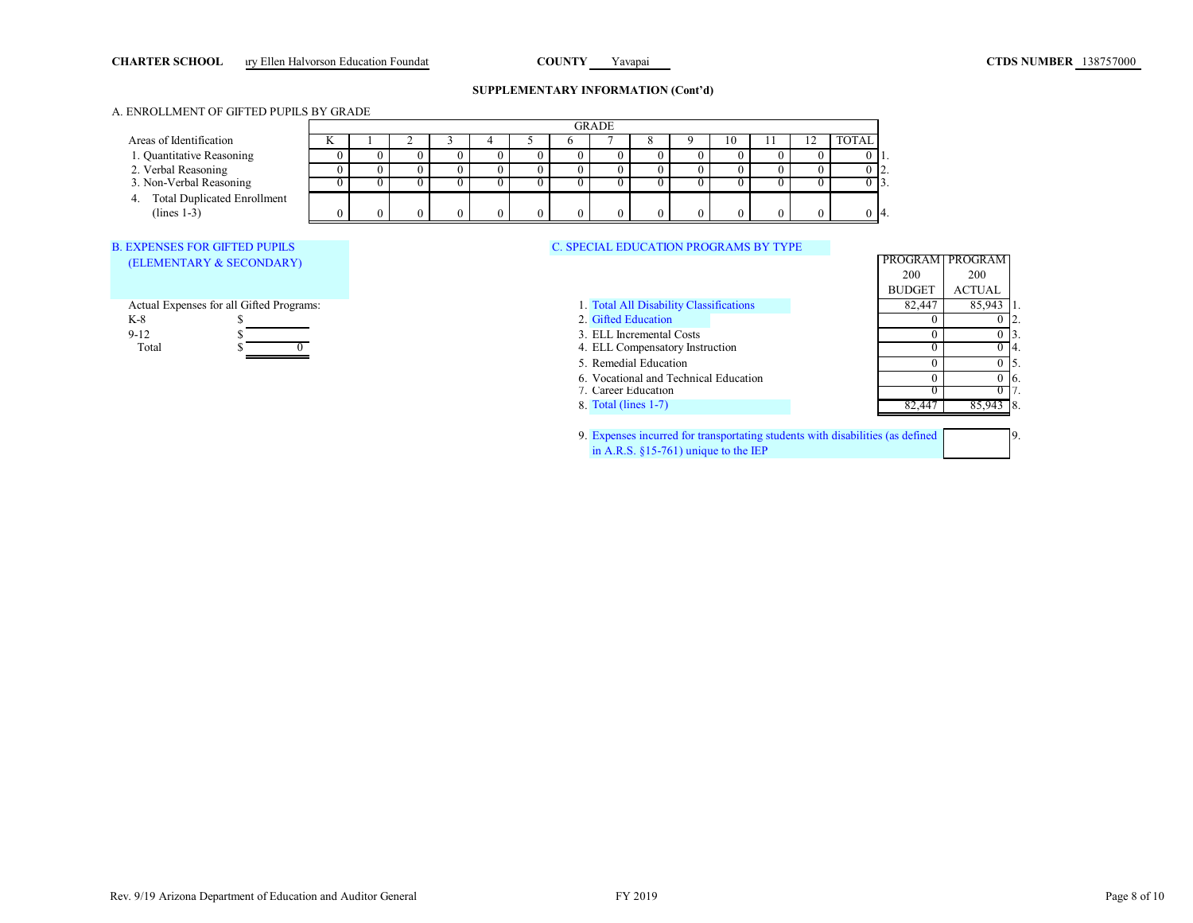# CHARTER SCHOOL ary Ellen Halvorson Education Foundation **COUNTY** Yavapai **COUNTY** Yavapai **COUNTY** Yavapai **COUNTY** Yavapai **COUNTY** Yavapai **COUNTY** Yavapai **COUNTY** Yavapai **COUNTY** Yavapai **COUNTY** Yavapai **COUNTY** Yava

## **SUPPLEMENTARY INFORMATION (Cont'd)**

### A. ENROLLMENT OF GIFTED PUPILS BY GRADE

|                                         | PROGRAM       | PROGRAM       |
|-----------------------------------------|---------------|---------------|
|                                         | 200           | 200           |
|                                         | <b>BUDGET</b> | <b>ACTUAL</b> |
| 1. Total All Disability Classifications | 82,447        | 85,943        |
| 2. Gifted Education                     |               |               |
| 3. ELL Incremental Costs                |               |               |
| 4. ELL Compensatory Instruction         |               | 14.           |
| 5. Remedial Education                   |               | 15.           |
| 6. Vocational and Technical Education   |               | 6.            |
| 7. Career Education                     |               |               |
| 8. Total (lines $1-7$ )                 |               | 8.            |
|                                         |               |               |

9. 9. Expenses incurred for transportating students with disabilities (as defined in A.R.S. §15-761) unique to the IEP

|                                          |          |              |          |          |          |            | <b>GRADE</b>                                 |  |          |          |   |              |               |                 |  |
|------------------------------------------|----------|--------------|----------|----------|----------|------------|----------------------------------------------|--|----------|----------|---|--------------|---------------|-----------------|--|
| Areas of Identification                  |          |              |          |          |          |            |                                              |  | 10       |          | ∠ | <b>TOTAL</b> |               |                 |  |
| 1. Quantitative Reasoning                |          | $\theta$     | $\theta$ | $\Omega$ | 0        | $^{\circ}$ |                                              |  | $_{0}$   |          |   | 011.         |               |                 |  |
| 2. Verbal Reasoning                      | $\Omega$ | $\Omega$     | $\theta$ | $\Omega$ | $\Omega$ | $\Omega$   |                                              |  | $\Omega$ | $\theta$ |   | $0\,12.$     |               |                 |  |
| 3. Non-Verbal Reasoning                  | 0        | $\mathbf{0}$ | $^{(1)}$ | $\Omega$ | 0        | 0.         |                                              |  | $\theta$ |          |   | $0\,$   3.   |               |                 |  |
| 4. Total Duplicated Enrollment           |          |              |          |          |          |            |                                              |  |          |          |   |              |               |                 |  |
| $(lines 1-3)$                            |          | $\Omega$     | $\Omega$ | $\Omega$ |          |            |                                              |  |          |          |   | $0\,14.$     |               |                 |  |
|                                          |          |              |          |          |          |            |                                              |  |          |          |   |              |               |                 |  |
| <b>B. EXPENSES FOR GIFTED PUPILS</b>     |          |              |          |          |          |            | <b>C. SPECIAL EDUCATION PROGRAMS BY TYPE</b> |  |          |          |   |              |               |                 |  |
| (ELEMENTARY & SECONDARY)                 |          |              |          |          |          |            |                                              |  |          |          |   |              |               | PROGRAM PROGRAM |  |
|                                          |          |              |          |          |          |            |                                              |  |          |          |   |              | 200           | 200             |  |
|                                          |          |              |          |          |          |            |                                              |  |          |          |   |              | <b>BUDGET</b> | <b>ACTUAL</b>   |  |
| Actual Expenses for all Gifted Programs: |          |              |          |          |          |            | 1. Total All Disability Classifications      |  |          |          |   |              | 82,447        | 85,943          |  |
| $K-8$                                    |          |              |          |          |          |            | 2. Gifted Education                          |  |          |          |   |              |               |                 |  |
| $9-12$                                   |          |              |          |          |          |            | 3. ELL Incremental Costs                     |  |          |          |   |              |               | $\Omega$        |  |
| Total                                    |          |              |          |          |          |            | 4. ELL Compensatory Instruction              |  |          |          |   |              |               |                 |  |